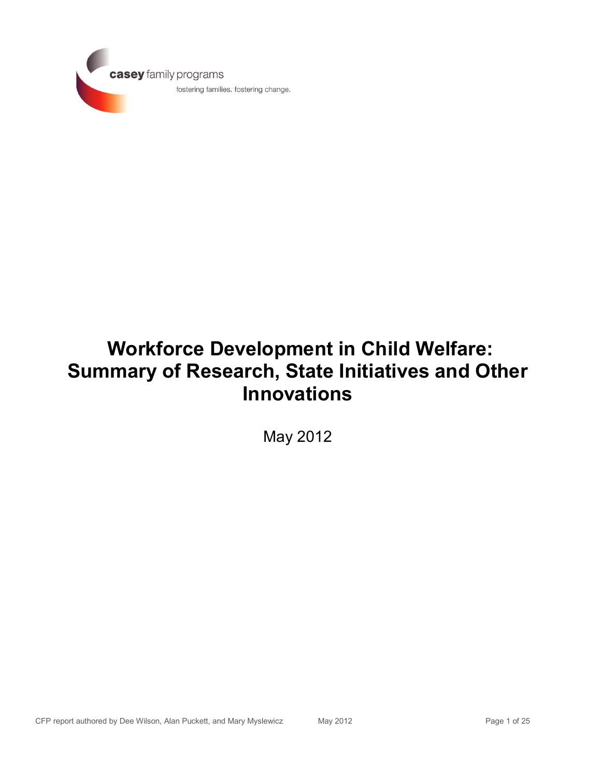

# **Workforce Development in Child Welfare: Summary of Research, State Initiatives and Other Innovations**

May 2012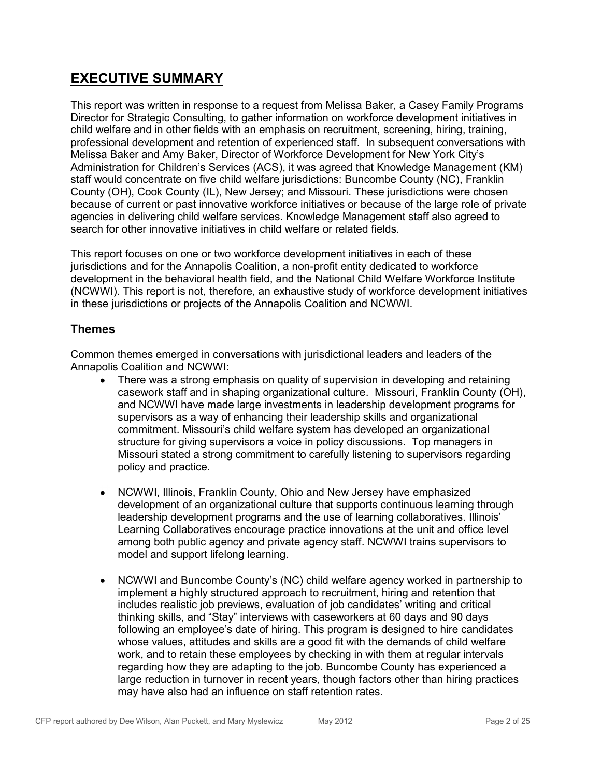### **EXECUTIVE SUMMARY**

This report was written in response to a request from Melissa Baker, a Casey Family Programs Director for Strategic Consulting, to gather information on workforce development initiatives in child welfare and in other fields with an emphasis on recruitment, screening, hiring, training, professional development and retention of experienced staff. In subsequent conversations with Melissa Baker and Amy Baker, Director of Workforce Development for New York City's Administration for Children's Services (ACS), it was agreed that Knowledge Management (KM) staff would concentrate on five child welfare jurisdictions: Buncombe County (NC), Franklin County (OH), Cook County (IL), New Jersey; and Missouri. These jurisdictions were chosen because of current or past innovative workforce initiatives or because of the large role of private agencies in delivering child welfare services. Knowledge Management staff also agreed to search for other innovative initiatives in child welfare or related fields.

This report focuses on one or two workforce development initiatives in each of these jurisdictions and for the Annapolis Coalition, a non-profit entity dedicated to workforce development in the behavioral health field, and the National Child Welfare Workforce Institute (NCWWI). This report is not, therefore, an exhaustive study of workforce development initiatives in these jurisdictions or projects of the Annapolis Coalition and NCWWI.

#### **Themes**

Common themes emerged in conversations with jurisdictional leaders and leaders of the Annapolis Coalition and NCWWI:

- There was a strong emphasis on quality of supervision in developing and retaining casework staff and in shaping organizational culture. Missouri, Franklin County (OH), and NCWWI have made large investments in leadership development programs for supervisors as a way of enhancing their leadership skills and organizational commitment. Missouri's child welfare system has developed an organizational structure for giving supervisors a voice in policy discussions. Top managers in Missouri stated a strong commitment to carefully listening to supervisors regarding policy and practice.
- NCWWI, Illinois, Franklin County, Ohio and New Jersey have emphasized  $\bullet$ development of an organizational culture that supports continuous learning through leadership development programs and the use of learning collaboratives. Illinois' Learning Collaboratives encourage practice innovations at the unit and office level among both public agency and private agency staff. NCWWI trains supervisors to model and support lifelong learning.
- NCWWI and Buncombe County's (NC) child welfare agency worked in partnership to  $\bullet$ implement a highly structured approach to recruitment, hiring and retention that includes realistic job previews, evaluation of job candidates' writing and critical thinking skills, and "Stay" interviews with caseworkers at 60 days and 90 days following an employee's date of hiring. This program is designed to hire candidates whose values, attitudes and skills are a good fit with the demands of child welfare work, and to retain these employees by checking in with them at regular intervals regarding how they are adapting to the job. Buncombe County has experienced a large reduction in turnover in recent years, though factors other than hiring practices may have also had an influence on staff retention rates.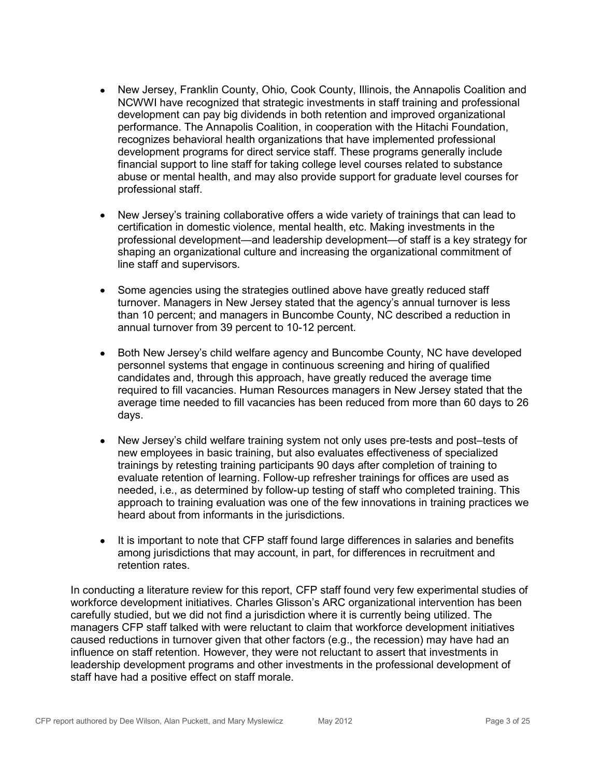- New Jersey, Franklin County, Ohio, Cook County, Illinois, the Annapolis Coalition and  $\bullet$ NCWWI have recognized that strategic investments in staff training and professional development can pay big dividends in both retention and improved organizational performance. The Annapolis Coalition, in cooperation with the Hitachi Foundation, recognizes behavioral health organizations that have implemented professional development programs for direct service staff. These programs generally include financial support to line staff for taking college level courses related to substance abuse or mental health, and may also provide support for graduate level courses for professional staff.
- New Jersey's training collaborative offers a wide variety of trainings that can lead to  $\bullet$ certification in domestic violence, mental health, etc. Making investments in the professional development—and leadership development—of staff is a key strategy for shaping an organizational culture and increasing the organizational commitment of line staff and supervisors.
- Some agencies using the strategies outlined above have greatly reduced staff  $\bullet$ turnover. Managers in New Jersey stated that the agency's annual turnover is less than 10 percent; and managers in Buncombe County, NC described a reduction in annual turnover from 39 percent to 10-12 percent.
- Both New Jersey's child welfare agency and Buncombe County, NC have developed  $\bullet$ personnel systems that engage in continuous screening and hiring of qualified candidates and, through this approach, have greatly reduced the average time required to fill vacancies. Human Resources managers in New Jersey stated that the average time needed to fill vacancies has been reduced from more than 60 days to 26 days.
- New Jersey's child welfare training system not only uses pre-tests and post–tests of  $\bullet$ new employees in basic training, but also evaluates effectiveness of specialized trainings by retesting training participants 90 days after completion of training to evaluate retention of learning. Follow-up refresher trainings for offices are used as needed, i.e., as determined by follow-up testing of staff who completed training. This approach to training evaluation was one of the few innovations in training practices we heard about from informants in the jurisdictions.
- It is important to note that CFP staff found large differences in salaries and benefits  $\bullet$ among jurisdictions that may account, in part, for differences in recruitment and retention rates.

In conducting a literature review for this report, CFP staff found very few experimental studies of workforce development initiatives. Charles Glisson's ARC organizational intervention has been carefully studied, but we did not find a jurisdiction where it is currently being utilized. The managers CFP staff talked with were reluctant to claim that workforce development initiatives caused reductions in turnover given that other factors (e.g., the recession) may have had an influence on staff retention. However, they were not reluctant to assert that investments in leadership development programs and other investments in the professional development of staff have had a positive effect on staff morale.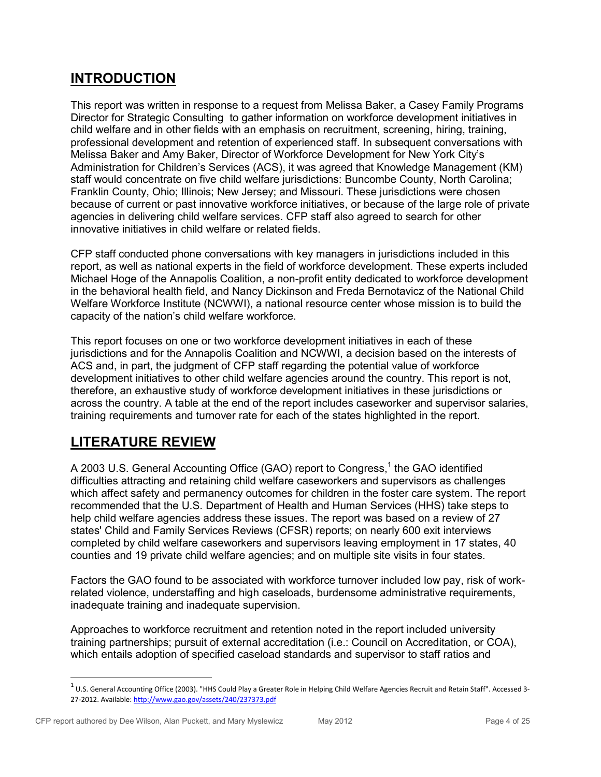### **INTRODUCTION**

This report was written in response to a request from Melissa Baker, a Casey Family Programs Director for Strategic Consulting to gather information on workforce development initiatives in child welfare and in other fields with an emphasis on recruitment, screening, hiring, training, professional development and retention of experienced staff. In subsequent conversations with Melissa Baker and Amy Baker, Director of Workforce Development for New York City's Administration for Children's Services (ACS), it was agreed that Knowledge Management (KM) staff would concentrate on five child welfare jurisdictions: Buncombe County, North Carolina; Franklin County, Ohio; Illinois; New Jersey; and Missouri. These jurisdictions were chosen because of current or past innovative workforce initiatives, or because of the large role of private agencies in delivering child welfare services. CFP staff also agreed to search for other innovative initiatives in child welfare or related fields.

CFP staff conducted phone conversations with key managers in jurisdictions included in this report, as well as national experts in the field of workforce development. These experts included Michael Hoge of the Annapolis Coalition, a non-profit entity dedicated to workforce development in the behavioral health field, and Nancy Dickinson and Freda Bernotavicz of the National Child Welfare Workforce Institute (NCWWI), a national resource center whose mission is to build the capacity of the nation's child welfare workforce.

This report focuses on one or two workforce development initiatives in each of these jurisdictions and for the Annapolis Coalition and NCWWI, a decision based on the interests of ACS and, in part, the judgment of CFP staff regarding the potential value of workforce development initiatives to other child welfare agencies around the country. This report is not, therefore, an exhaustive study of workforce development initiatives in these jurisdictions or across the country. A table at the end of the report includes caseworker and supervisor salaries, training requirements and turnover rate for each of the states highlighted in the report.

# **LITERATURE REVIEW**

A 2003 U.S. General Accounting Office (GAO) report to Congress,<sup>1</sup> the GAO identified difficulties attracting and retaining child welfare caseworkers and supervisors as challenges which affect safety and permanency outcomes for children in the foster care system. The report recommended that the U.S. Department of Health and Human Services (HHS) take steps to help child welfare agencies address these issues. The report was based on a review of 27 states' Child and Family Services Reviews (CFSR) reports; on nearly 600 exit interviews completed by child welfare caseworkers and supervisors leaving employment in 17 states, 40 counties and 19 private child welfare agencies; and on multiple site visits in four states.

Factors the GAO found to be associated with workforce turnover included low pay, risk of workrelated violence, understaffing and high caseloads, burdensome administrative requirements, inadequate training and inadequate supervision.

Approaches to workforce recruitment and retention noted in the report included university training partnerships; pursuit of external accreditation (i.e.: Council on Accreditation, or COA), which entails adoption of specified caseload standards and supervisor to staff ratios and

 $^1$  U.S. General Accounting Office (2003). "HHS Could Play a Greater Role in Helping Child Welfare Agencies Recruit and Retain Staff". Accessed 3-27-2012. Available[: http://www.gao.gov/assets/240/237373.pdf](http://www.gao.gov/assets/240/237373.pdf)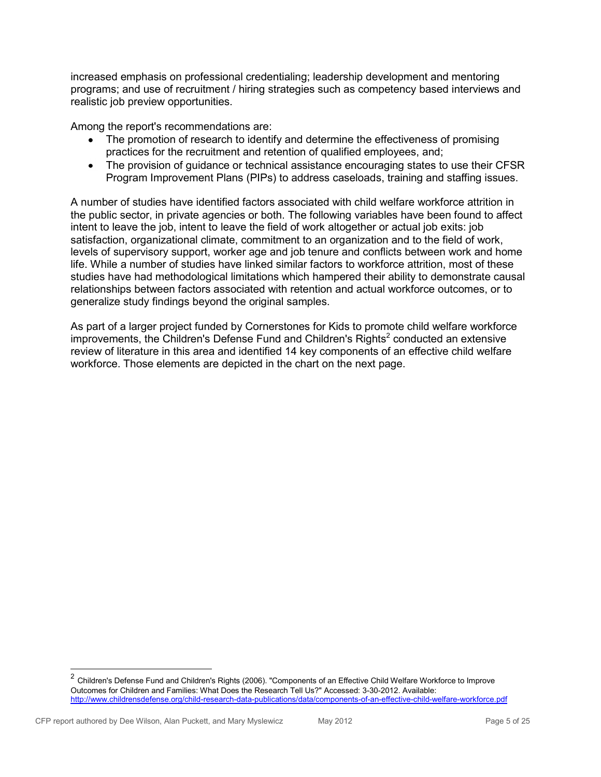increased emphasis on professional credentialing; leadership development and mentoring programs; and use of recruitment / hiring strategies such as competency based interviews and realistic job preview opportunities.

Among the report's recommendations are:

- The promotion of research to identify and determine the effectiveness of promising  $\bullet$ practices for the recruitment and retention of qualified employees, and;
- The provision of guidance or technical assistance encouraging states to use their CFSR  $\bullet$ Program Improvement Plans (PIPs) to address caseloads, training and staffing issues.

A number of studies have identified factors associated with child welfare workforce attrition in the public sector, in private agencies or both. The following variables have been found to affect intent to leave the job, intent to leave the field of work altogether or actual job exits: job satisfaction, organizational climate, commitment to an organization and to the field of work, levels of supervisory support, worker age and job tenure and conflicts between work and home life. While a number of studies have linked similar factors to workforce attrition, most of these studies have had methodological limitations which hampered their ability to demonstrate causal relationships between factors associated with retention and actual workforce outcomes, or to generalize study findings beyond the original samples.

As part of a larger project funded by Cornerstones for Kids to promote child welfare workforce improvements, the Children's Defense Fund and Children's Rights<sup>2</sup> conducted an extensive review of literature in this area and identified 14 key components of an effective child welfare workforce. Those elements are depicted in the chart on the next page.

<sup>&</sup>lt;sup>2</sup> Children's Defense Fund and Children's Rights (2006). "Components of an Effective Child Welfare Workforce to Improve Outcomes for Children and Families: What Does the Research Tell Us?" Accessed: 3-30-2012. Available: <http://www.childrensdefense.org/child-research-data-publications/data/components-of-an-effective-child-welfare-workforce.pdf>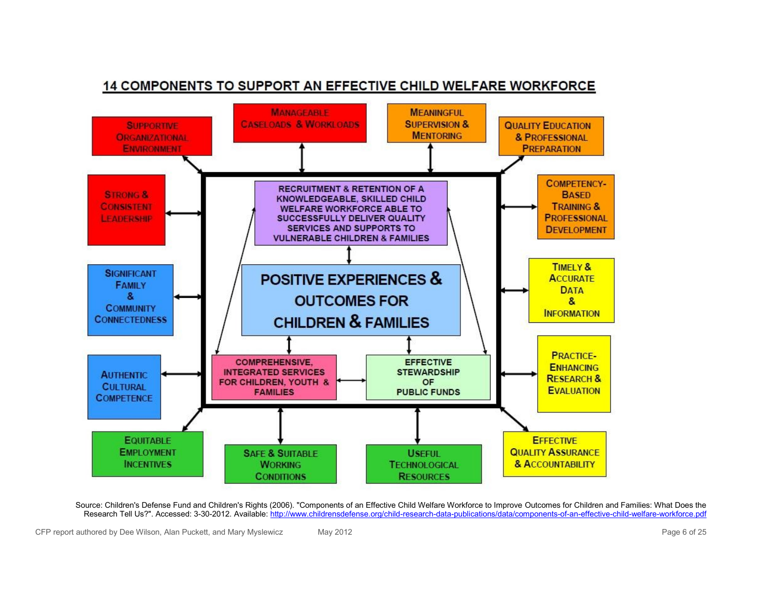

#### 14 COMPONENTS TO SUPPORT AN EFFECTIVE CHILD WELFARE WORKFORCE

Source: Children's Defense Fund and Children's Rights (2006). "Components of an Effective Child Welfare Workforce to Improve Outcomes for Children and Families: What Does the Research Tell Us?". Accessed: 3-30-2012. Available: http://www.childrensdefense.org/child-research-data-publications/data/components-of-an-effective-child-welfare-workforce.pdf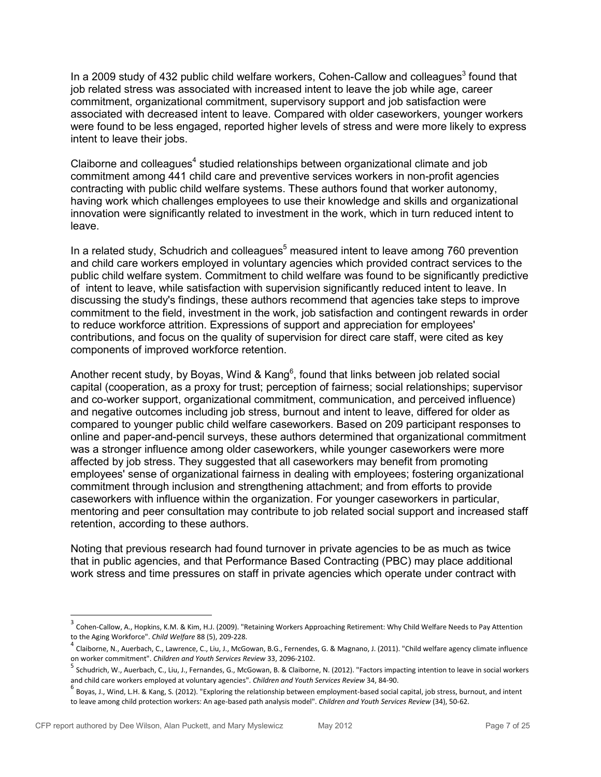In a 2009 study of 432 public child welfare workers, Cohen-Callow and colleagues<sup>3</sup> found that job related stress was associated with increased intent to leave the job while age, career commitment, organizational commitment, supervisory support and job satisfaction were associated with decreased intent to leave. Compared with older caseworkers, younger workers were found to be less engaged, reported higher levels of stress and were more likely to express intent to leave their jobs.

Claiborne and colleagues<sup>4</sup> studied relationships between organizational climate and job commitment among 441 child care and preventive services workers in non-profit agencies contracting with public child welfare systems. These authors found that worker autonomy, having work which challenges employees to use their knowledge and skills and organizational innovation were significantly related to investment in the work, which in turn reduced intent to leave.

In a related study, Schudrich and colleagues<sup>5</sup> measured intent to leave among 760 prevention and child care workers employed in voluntary agencies which provided contract services to the public child welfare system. Commitment to child welfare was found to be significantly predictive of intent to leave, while satisfaction with supervision significantly reduced intent to leave. In discussing the study's findings, these authors recommend that agencies take steps to improve commitment to the field, investment in the work, job satisfaction and contingent rewards in order to reduce workforce attrition. Expressions of support and appreciation for employees' contributions, and focus on the quality of supervision for direct care staff, were cited as key components of improved workforce retention.

Another recent study, by Boyas, Wind & Kang<sup>6</sup>, found that links between job related social capital (cooperation, as a proxy for trust; perception of fairness; social relationships; supervisor and co-worker support, organizational commitment, communication, and perceived influence) and negative outcomes including job stress, burnout and intent to leave, differed for older as compared to younger public child welfare caseworkers. Based on 209 participant responses to online and paper-and-pencil surveys, these authors determined that organizational commitment was a stronger influence among older caseworkers, while younger caseworkers were more affected by job stress. They suggested that all caseworkers may benefit from promoting employees' sense of organizational fairness in dealing with employees; fostering organizational commitment through inclusion and strengthening attachment; and from efforts to provide caseworkers with influence within the organization. For younger caseworkers in particular, mentoring and peer consultation may contribute to job related social support and increased staff retention, according to these authors.

Noting that previous research had found turnover in private agencies to be as much as twice that in public agencies, and that Performance Based Contracting (PBC) may place additional work stress and time pressures on staff in private agencies which operate under contract with

 $^3$  Cohen-Callow, A., Hopkins, K.M. & Kim, H.J. (2009). "Retaining Workers Approaching Retirement: Why Child Welfare Needs to Pay Attention to the Aging Workforce". *Child Welfare* 88 (5), 209-228.

<sup>&</sup>lt;sup>4</sup> Claiborne, N., Auerbach, C., Lawrence, C., Liu, J., McGowan, B.G., Fernendes, G. & Magnano, J. (2011). "Child welfare agency climate influence on worker commitment". *Children and Youth Services Review* 33, 2096-2102. 5

Schudrich, W., Auerbach, C., Liu, J., Fernandes, G., McGowan, B. & Claiborne, N. (2012). "Factors impacting intention to leave in social workers and child care workers employed at voluntary agencies". *Children and Youth Services Review* 34, 84-90.

<sup>&</sup>lt;sup>6</sup> Boyas, J., Wind, L.H. & Kang, S. (2012). "Exploring the relationship between employment-based social capital, job stress, burnout, and intent to leave among child protection workers: An age-based path analysis model". *Children and Youth Services Review* (34), 50-62.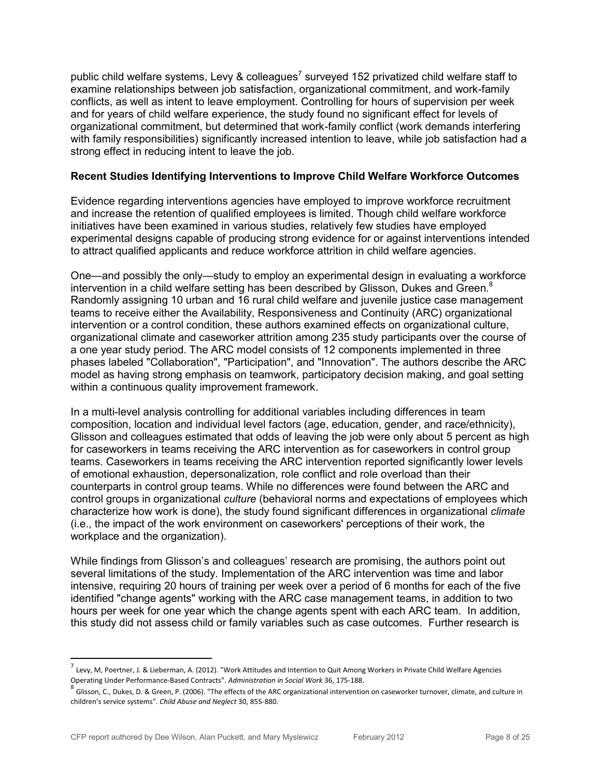public child welfare systems, Levy & colleagues<sup>7</sup> surveyed 152 privatized child welfare staff to examine relationships between job satisfaction, organizational commitment, and work-family conflicts, as well as intent to leave employment. Controlling for hours of supervision per week and for years of child welfare experience, the study found no significant effect for levels of organizational commitment, but determined that work-family conflict (work demands interfering with family responsibilities) significantly increased intention to leave, while job satisfaction had a strong effect in reducing intent to leave the job.

#### **Recent Studies Identifying Interventions to Improve Child Welfare Workforce Outcomes**

Evidence regarding interventions agencies have employed to improve workforce recruitment and increase the retention of qualified employees is limited. Though child welfare workforce initiatives have been examined in various studies, relatively few studies have employed experimental designs capable of producing strong evidence for or against interventions intended to attract qualified applicants and reduce workforce attrition in child welfare agencies.

One—and possibly the only—study to employ an experimental design in evaluating a workforce intervention in a child welfare setting has been described by Glisson, Dukes and Green.<sup>8</sup> Randomly assigning 10 urban and 16 rural child welfare and juvenile justice case management teams to receive either the Availability, Responsiveness and Continuity (ARC) organizational intervention or a control condition, these authors examined effects on organizational culture, organizational climate and caseworker attrition among 235 study participants over the course of a one year study period. The ARC model consists of 12 components implemented in three phases labeled "Collaboration", "Participation", and "Innovation". The authors describe the ARC model as having strong emphasis on teamwork, participatory decision making, and goal setting within a continuous quality improvement framework.

In a multi-level analysis controlling for additional variables including differences in team composition, location and individual level factors (age, education, gender, and race/ethnicity), Glisson and colleagues estimated that odds of leaving the job were only about 5 percent as high for caseworkers in teams receiving the ARC intervention as for caseworkers in control group teams. Caseworkers in teams receiving the ARC intervention reported significantly lower levels of emotional exhaustion, depersonalization, role conflict and role overload than their counterparts in control group teams. While no differences were found between the ARC and control groups in organizational *culture* (behavioral norms and expectations of employees which characterize how work is done), the study found significant differences in organizational *climate* (i.e., the impact of the work environment on caseworkers' perceptions of their work, the workplace and the organization).

While findings from Glisson's and colleagues' research are promising, the authors point out several limitations of the study. Implementation of the ARC intervention was time and labor intensive, requiring 20 hours of training per week over a period of 6 months for each of the five identified "change agents" working with the ARC case management teams, in addition to two hours per week for one year which the change agents spent with each ARC team. In addition, this study did not assess child or family variables such as case outcomes. Further research is

<sup>&</sup>lt;sup>7</sup> Levy, M, Poertner, J. & Lieberman, A. (2012). "Work Attitudes and Intention to Quit Among Workers in Private Child Welfare Agencies Operating Under Performance-Based Contracts". *Administration in Social Work* 36, 175-188.

 $^8$  Glisson, C., Dukes, D. & Green, P. (2006). "The effects of the ARC organizational intervention on caseworker turnover, climate, and culture in children's service systems". *Child Abuse and Neglect* 30, 855-880.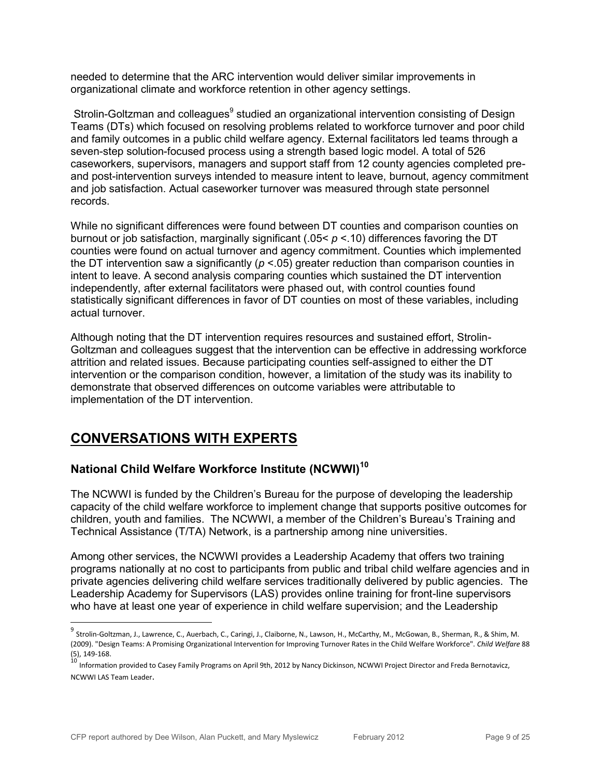needed to determine that the ARC intervention would deliver similar improvements in organizational climate and workforce retention in other agency settings.

Strolin-Goltzman and colleagues<sup>9</sup> studied an organizational intervention consisting of Design Teams (DTs) which focused on resolving problems related to workforce turnover and poor child and family outcomes in a public child welfare agency. External facilitators led teams through a seven-step solution-focused process using a strength based logic model. A total of 526 caseworkers, supervisors, managers and support staff from 12 county agencies completed preand post-intervention surveys intended to measure intent to leave, burnout, agency commitment and job satisfaction. Actual caseworker turnover was measured through state personnel records.

While no significant differences were found between DT counties and comparison counties on burnout or job satisfaction, marginally significant (.05< *p* <.10) differences favoring the DT counties were found on actual turnover and agency commitment. Counties which implemented the DT intervention saw a significantly (*p* <.05) greater reduction than comparison counties in intent to leave. A second analysis comparing counties which sustained the DT intervention independently, after external facilitators were phased out, with control counties found statistically significant differences in favor of DT counties on most of these variables, including actual turnover.

Although noting that the DT intervention requires resources and sustained effort, Strolin-Goltzman and colleagues suggest that the intervention can be effective in addressing workforce attrition and related issues. Because participating counties self-assigned to either the DT intervention or the comparison condition, however, a limitation of the study was its inability to demonstrate that observed differences on outcome variables were attributable to implementation of the DT intervention.

# **CONVERSATIONS WITH EXPERTS**

 $\overline{a}$ 

### **National Child Welfare Workforce Institute (NCWWI)<sup>10</sup>**

The NCWWI is funded by the Children's Bureau for the purpose of developing the leadership capacity of the child welfare workforce to implement change that supports positive outcomes for children, youth and families. The NCWWI, a member of the Children's Bureau's Training and Technical Assistance (T/TA) Network, is a partnership among nine universities.

Among other services, the NCWWI provides a Leadership Academy that offers two training programs nationally at no cost to participants from public and tribal child welfare agencies and in private agencies delivering child welfare services traditionally delivered by public agencies. The Leadership Academy for Supervisors (LAS) provides online training for front-line supervisors who have at least one year of experience in child welfare supervision; and the Leadership

<sup>&</sup>lt;sup>9</sup><br>Strolin-Goltzman, J., Lawrence, C., Auerbach, C., Caringi, J., Claiborne, N., Lawson, H., McCarthy, M., McGowan, B., Sherman, R., & Shim, M. (2009). "Design Teams: A Promising Organizational Intervention for Improving Turnover Rates in the Child Welfare Workforce". *Child Welfare* 88 (5), 149-168.

<sup>10</sup> Information provided to Casey Family Programs on April 9th, 2012 by Nancy Dickinson, NCWWI Project Director and Freda Bernotavicz, NCWWI LAS Team Leader.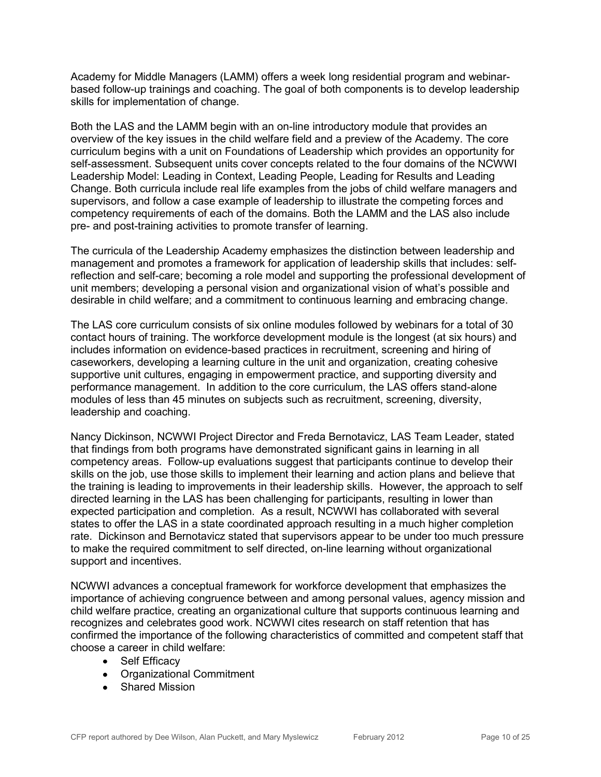Academy for Middle Managers (LAMM) offers a week long residential program and webinarbased follow-up trainings and coaching. The goal of both components is to develop leadership skills for implementation of change.

Both the LAS and the LAMM begin with an on-line introductory module that provides an overview of the key issues in the child welfare field and a preview of the Academy. The core curriculum begins with a unit on Foundations of Leadership which provides an opportunity for self-assessment. Subsequent units cover concepts related to the four domains of the NCWWI Leadership Model: Leading in Context, Leading People, Leading for Results and Leading Change. Both curricula include real life examples from the jobs of child welfare managers and supervisors, and follow a case example of leadership to illustrate the competing forces and competency requirements of each of the domains. Both the LAMM and the LAS also include pre- and post-training activities to promote transfer of learning.

The curricula of the Leadership Academy emphasizes the distinction between leadership and management and promotes a framework for application of leadership skills that includes: selfreflection and self-care; becoming a role model and supporting the professional development of unit members; developing a personal vision and organizational vision of what's possible and desirable in child welfare; and a commitment to continuous learning and embracing change.

The LAS core curriculum consists of six online modules followed by webinars for a total of 30 contact hours of training. The workforce development module is the longest (at six hours) and includes information on evidence-based practices in recruitment, screening and hiring of caseworkers, developing a learning culture in the unit and organization, creating cohesive supportive unit cultures, engaging in empowerment practice, and supporting diversity and performance management. In addition to the core curriculum, the LAS offers stand-alone modules of less than 45 minutes on subjects such as recruitment, screening, diversity, leadership and coaching.

Nancy Dickinson, NCWWI Project Director and Freda Bernotavicz, LAS Team Leader, stated that findings from both programs have demonstrated significant gains in learning in all competency areas. Follow-up evaluations suggest that participants continue to develop their skills on the job, use those skills to implement their learning and action plans and believe that the training is leading to improvements in their leadership skills. However, the approach to self directed learning in the LAS has been challenging for participants, resulting in lower than expected participation and completion. As a result, NCWWI has collaborated with several states to offer the LAS in a state coordinated approach resulting in a much higher completion rate. Dickinson and Bernotavicz stated that supervisors appear to be under too much pressure to make the required commitment to self directed, on-line learning without organizational support and incentives.

NCWWI advances a conceptual framework for workforce development that emphasizes the importance of achieving congruence between and among personal values, agency mission and child welfare practice, creating an organizational culture that supports continuous learning and recognizes and celebrates good work. NCWWI cites research on staff retention that has confirmed the importance of the following characteristics of committed and competent staff that choose a career in child welfare:

- Self Efficacy
- Organizational Commitment
- Shared Mission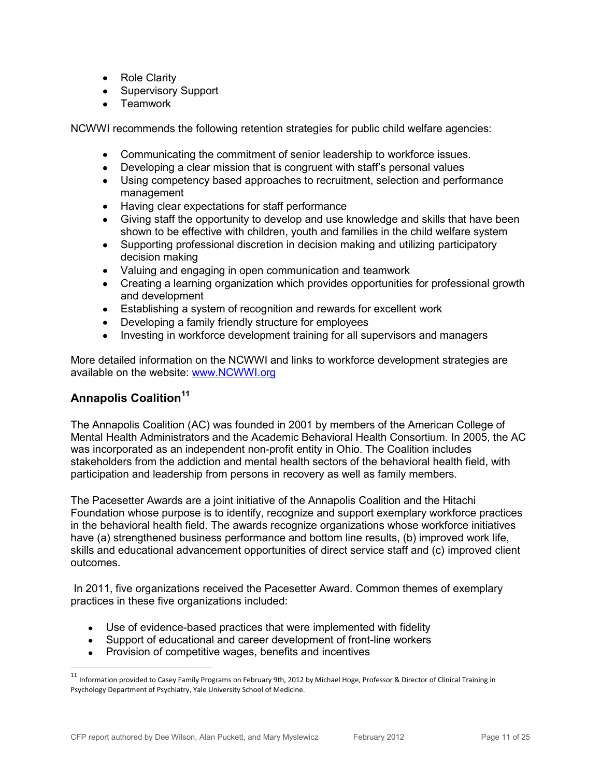- Role Clarity  $\bullet$
- Supervisory Support
- **Teamwork**

NCWWI recommends the following retention strategies for public child welfare agencies:

- Communicating the commitment of senior leadership to workforce issues.
- Developing a clear mission that is congruent with staff's personal values
- Using competency based approaches to recruitment, selection and performance management
- Having clear expectations for staff performance
- Giving staff the opportunity to develop and use knowledge and skills that have been shown to be effective with children, youth and families in the child welfare system
- Supporting professional discretion in decision making and utilizing participatory decision making
- Valuing and engaging in open communication and teamwork
- Creating a learning organization which provides opportunities for professional growth and development
- Establishing a system of recognition and rewards for excellent work
- Developing a family friendly structure for employees
- Investing in workforce development training for all supervisors and managers

More detailed information on the NCWWI and links to workforce development strategies are available on the website: [www.NCWWI.org](http://www.ncwwi.org/)

#### **Annapolis Coalition<sup>11</sup>**

 $\overline{a}$ 

The Annapolis Coalition (AC) was founded in 2001 by members of the American College of Mental Health Administrators and the Academic Behavioral Health Consortium. In 2005, the AC was incorporated as an independent non-profit entity in Ohio. The Coalition includes stakeholders from the addiction and mental health sectors of the behavioral health field, with participation and leadership from persons in recovery as well as family members.

The Pacesetter Awards are a joint initiative of the Annapolis Coalition and the Hitachi Foundation whose purpose is to identify, recognize and support exemplary workforce practices in the behavioral health field. The awards recognize organizations whose workforce initiatives have (a) strengthened business performance and bottom line results, (b) improved work life, skills and educational advancement opportunities of direct service staff and (c) improved client outcomes.

In 2011, five organizations received the Pacesetter Award. Common themes of exemplary practices in these five organizations included:

- Use of evidence-based practices that were implemented with fidelity  $\bullet$
- Support of educational and career development of front-line workers
- Provision of competitive wages, benefits and incentives

 $^{11}$  Information provided to Casey Family Programs on February 9th, 2012 by Michael Hoge, Professor & Director of Clinical Training in Psychology Department of Psychiatry, Yale University School of Medicine.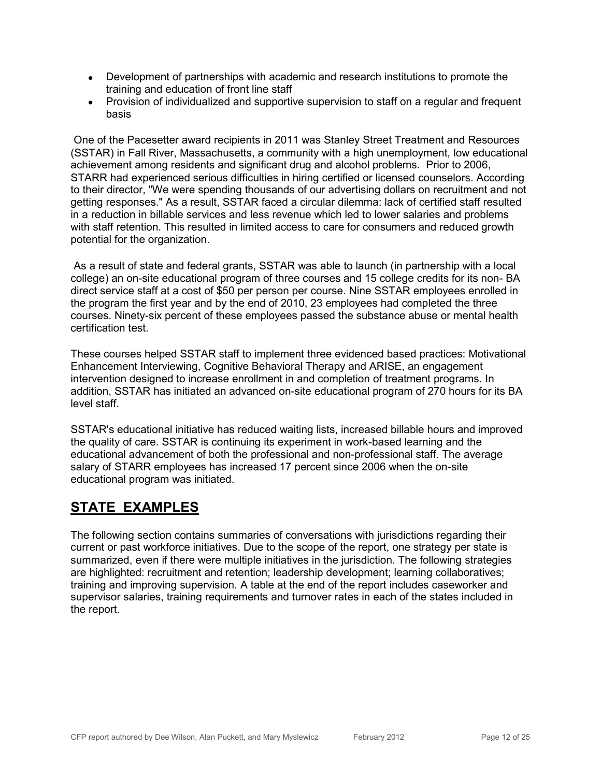- Development of partnerships with academic and research institutions to promote the training and education of front line staff
- Provision of individualized and supportive supervision to staff on a regular and frequent basis

One of the Pacesetter award recipients in 2011 was Stanley Street Treatment and Resources (SSTAR) in Fall River, Massachusetts, a community with a high unemployment, low educational achievement among residents and significant drug and alcohol problems. Prior to 2006, STARR had experienced serious difficulties in hiring certified or licensed counselors. According to their director, "We were spending thousands of our advertising dollars on recruitment and not getting responses." As a result, SSTAR faced a circular dilemma: lack of certified staff resulted in a reduction in billable services and less revenue which led to lower salaries and problems with staff retention. This resulted in limited access to care for consumers and reduced growth potential for the organization.

As a result of state and federal grants, SSTAR was able to launch (in partnership with a local college) an on-site educational program of three courses and 15 college credits for its non- BA direct service staff at a cost of \$50 per person per course. Nine SSTAR employees enrolled in the program the first year and by the end of 2010, 23 employees had completed the three courses. Ninety-six percent of these employees passed the substance abuse or mental health certification test.

These courses helped SSTAR staff to implement three evidenced based practices: Motivational Enhancement Interviewing, Cognitive Behavioral Therapy and ARISE, an engagement intervention designed to increase enrollment in and completion of treatment programs. In addition, SSTAR has initiated an advanced on-site educational program of 270 hours for its BA level staff.

SSTAR's educational initiative has reduced waiting lists, increased billable hours and improved the quality of care. SSTAR is continuing its experiment in work-based learning and the educational advancement of both the professional and non-professional staff. The average salary of STARR employees has increased 17 percent since 2006 when the on-site educational program was initiated.

# **STATE EXAMPLES**

The following section contains summaries of conversations with jurisdictions regarding their current or past workforce initiatives. Due to the scope of the report, one strategy per state is summarized, even if there were multiple initiatives in the jurisdiction. The following strategies are highlighted: recruitment and retention; leadership development; learning collaboratives; training and improving supervision. A table at the end of the report includes caseworker and supervisor salaries, training requirements and turnover rates in each of the states included in the report.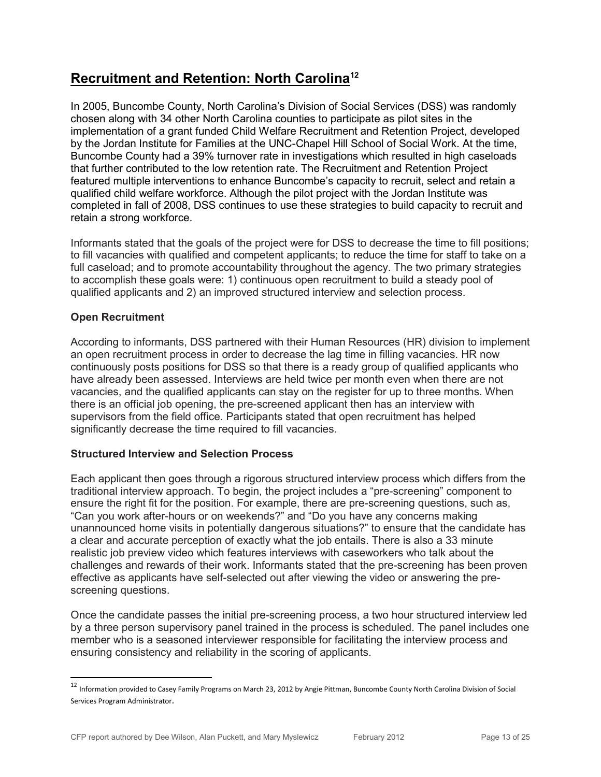# **Recruitment and Retention: North Carolina<sup>12</sup>**

In 2005, Buncombe County, North Carolina's Division of Social Services (DSS) was randomly chosen along with 34 other North Carolina counties to participate as pilot sites in the implementation of a grant funded Child Welfare Recruitment and Retention Project, developed by the Jordan Institute for Families at the UNC-Chapel Hill School of Social Work. At the time, Buncombe County had a 39% turnover rate in investigations which resulted in high caseloads that further contributed to the low retention rate. The Recruitment and Retention Project featured multiple interventions to enhance Buncombe's capacity to recruit, select and retain a qualified child welfare workforce. Although the pilot project with the Jordan Institute was completed in fall of 2008, DSS continues to use these strategies to build capacity to recruit and retain a strong workforce.

Informants stated that the goals of the project were for DSS to decrease the time to fill positions; to fill vacancies with qualified and competent applicants; to reduce the time for staff to take on a full caseload; and to promote accountability throughout the agency. The two primary strategies to accomplish these goals were: 1) continuous open recruitment to build a steady pool of qualified applicants and 2) an improved structured interview and selection process.

#### **Open Recruitment**

 $\overline{a}$ 

According to informants, DSS partnered with their Human Resources (HR) division to implement an open recruitment process in order to decrease the lag time in filling vacancies. HR now continuously posts positions for DSS so that there is a ready group of qualified applicants who have already been assessed. Interviews are held twice per month even when there are not vacancies, and the qualified applicants can stay on the register for up to three months. When there is an official job opening, the pre-screened applicant then has an interview with supervisors from the field office. Participants stated that open recruitment has helped significantly decrease the time required to fill vacancies.

#### **Structured Interview and Selection Process**

Each applicant then goes through a rigorous structured interview process which differs from the traditional interview approach. To begin, the project includes a "pre-screening" component to ensure the right fit for the position. For example, there are pre-screening questions, such as, "Can you work after-hours or on weekends?" and "Do you have any concerns making unannounced home visits in potentially dangerous situations?" to ensure that the candidate has a clear and accurate perception of exactly what the job entails. There is also a 33 minute realistic job preview video which features interviews with caseworkers who talk about the challenges and rewards of their work. Informants stated that the pre-screening has been proven effective as applicants have self-selected out after viewing the video or answering the prescreening questions.

Once the candidate passes the initial pre-screening process, a two hour structured interview led by a three person supervisory panel trained in the process is scheduled. The panel includes one member who is a seasoned interviewer responsible for facilitating the interview process and ensuring consistency and reliability in the scoring of applicants.

<sup>12</sup> Information provided to Casey Family Programs on March 23, 2012 by Angie Pittman, Buncombe County North Carolina Division of Social Services Program Administrator.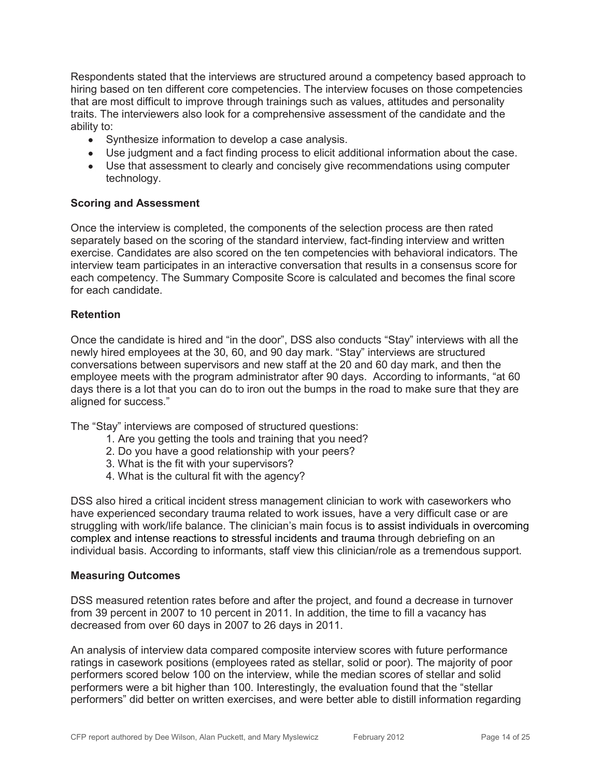Respondents stated that the interviews are structured around a competency based approach to hiring based on ten different core competencies. The interview focuses on those competencies that are most difficult to improve through trainings such as values, attitudes and personality traits. The interviewers also look for a comprehensive assessment of the candidate and the ability to:

- Synthesize information to develop a case analysis.
- Use judgment and a fact finding process to elicit additional information about the case.
- Use that assessment to clearly and concisely give recommendations using computer technology.

#### **Scoring and Assessment**

Once the interview is completed, the components of the selection process are then rated separately based on the scoring of the standard interview, fact-finding interview and written exercise. Candidates are also scored on the ten competencies with behavioral indicators. The interview team participates in an interactive conversation that results in a consensus score for each competency. The Summary Composite Score is calculated and becomes the final score for each candidate.

#### **Retention**

Once the candidate is hired and "in the door", DSS also conducts "Stay" interviews with all the newly hired employees at the 30, 60, and 90 day mark. "Stay" interviews are structured conversations between supervisors and new staff at the 20 and 60 day mark, and then the employee meets with the program administrator after 90 days. According to informants, "at 60 days there is a lot that you can do to iron out the bumps in the road to make sure that they are aligned for success."

The "Stay" interviews are composed of structured questions:

- 1. Are you getting the tools and training that you need?
- 2. Do you have a good relationship with your peers?
- 3. What is the fit with your supervisors?
- 4. What is the cultural fit with the agency?

DSS also hired a critical incident stress management clinician to work with caseworkers who have experienced secondary trauma related to work issues, have a very difficult case or are struggling with work/life balance. The clinician's main focus is to assist individuals in overcoming complex and intense reactions to stressful incidents and trauma through debriefing on an individual basis. According to informants, staff view this clinician/role as a tremendous support.

#### **Measuring Outcomes**

DSS measured retention rates before and after the project, and found a decrease in turnover from 39 percent in 2007 to 10 percent in 2011. In addition, the time to fill a vacancy has decreased from over 60 days in 2007 to 26 days in 2011.

An analysis of interview data compared composite interview scores with future performance ratings in casework positions (employees rated as stellar, solid or poor). The majority of poor performers scored below 100 on the interview, while the median scores of stellar and solid performers were a bit higher than 100. Interestingly, the evaluation found that the "stellar performers" did better on written exercises, and were better able to distill information regarding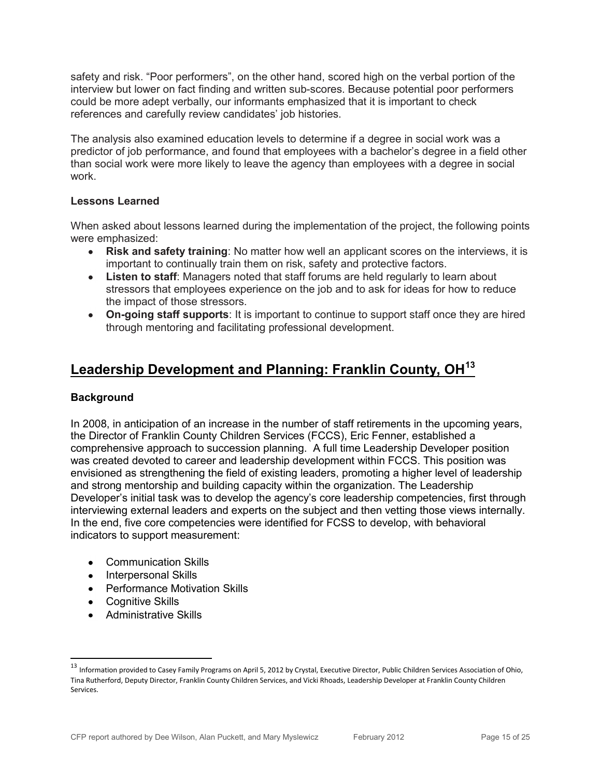safety and risk. "Poor performers", on the other hand, scored high on the verbal portion of the interview but lower on fact finding and written sub-scores. Because potential poor performers could be more adept verbally, our informants emphasized that it is important to check references and carefully review candidates' job histories.

The analysis also examined education levels to determine if a degree in social work was a predictor of job performance, and found that employees with a bachelor's degree in a field other than social work were more likely to leave the agency than employees with a degree in social work.

#### **Lessons Learned**

When asked about lessons learned during the implementation of the project, the following points were emphasized:

- **Risk and safety training**: No matter how well an applicant scores on the interviews, it is important to continually train them on risk, safety and protective factors.
- **Listen to staff**: Managers noted that staff forums are held regularly to learn about stressors that employees experience on the job and to ask for ideas for how to reduce the impact of those stressors.
- **On-going staff supports**: It is important to continue to support staff once they are hired through mentoring and facilitating professional development.

## **Leadership Development and Planning: Franklin County, OH<sup>13</sup>**

#### **Background**

In 2008, in anticipation of an increase in the number of staff retirements in the upcoming years, the Director of Franklin County Children Services (FCCS), Eric Fenner, established a comprehensive approach to succession planning. A full time Leadership Developer position was created devoted to career and leadership development within FCCS. This position was envisioned as strengthening the field of existing leaders, promoting a higher level of leadership and strong mentorship and building capacity within the organization. The Leadership Developer's initial task was to develop the agency's core leadership competencies, first through interviewing external leaders and experts on the subject and then vetting those views internally. In the end, five core competencies were identified for FCSS to develop, with behavioral indicators to support measurement:

- Communication Skills
- Interpersonal Skills
- Performance Motivation Skills
- Cognitive Skills

• Administrative Skills

<sup>&</sup>lt;sup>13</sup> Information provided to Casey Family Programs on April 5, 2012 by Crystal, Executive Director, Public Children Services Association of Ohio, Tina Rutherford, Deputy Director, Franklin County Children Services, and Vicki Rhoads, Leadership Developer at Franklin County Children Services.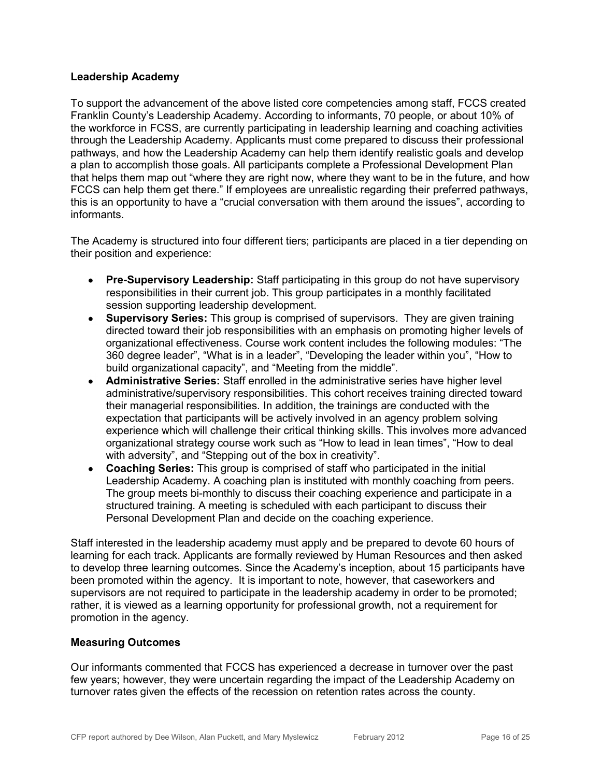#### **Leadership Academy**

To support the advancement of the above listed core competencies among staff, FCCS created Franklin County's Leadership Academy. According to informants, 70 people, or about 10% of the workforce in FCSS, are currently participating in leadership learning and coaching activities through the Leadership Academy. Applicants must come prepared to discuss their professional pathways, and how the Leadership Academy can help them identify realistic goals and develop a plan to accomplish those goals. All participants complete a Professional Development Plan that helps them map out "where they are right now, where they want to be in the future, and how FCCS can help them get there." If employees are unrealistic regarding their preferred pathways, this is an opportunity to have a "crucial conversation with them around the issues", according to informants.

The Academy is structured into four different tiers; participants are placed in a tier depending on their position and experience:

- **Pre-Supervisory Leadership:** Staff participating in this group do not have supervisory responsibilities in their current job. This group participates in a monthly facilitated session supporting leadership development.
- **Supervisory Series:** This group is comprised of supervisors. They are given training directed toward their job responsibilities with an emphasis on promoting higher levels of organizational effectiveness. Course work content includes the following modules: "The 360 degree leader", "What is in a leader", "Developing the leader within you", "How to build organizational capacity", and "Meeting from the middle".
- **Administrative Series:** Staff enrolled in the administrative series have higher level administrative/supervisory responsibilities. This cohort receives training directed toward their managerial responsibilities. In addition, the trainings are conducted with the expectation that participants will be actively involved in an agency problem solving experience which will challenge their critical thinking skills. This involves more advanced organizational strategy course work such as "How to lead in lean times", "How to deal with adversity", and "Stepping out of the box in creativity".
- **Coaching Series:** This group is comprised of staff who participated in the initial Leadership Academy. A coaching plan is instituted with monthly coaching from peers. The group meets bi-monthly to discuss their coaching experience and participate in a structured training. A meeting is scheduled with each participant to discuss their Personal Development Plan and decide on the coaching experience.

Staff interested in the leadership academy must apply and be prepared to devote 60 hours of learning for each track. Applicants are formally reviewed by Human Resources and then asked to develop three learning outcomes. Since the Academy's inception, about 15 participants have been promoted within the agency. It is important to note, however, that caseworkers and supervisors are not required to participate in the leadership academy in order to be promoted; rather, it is viewed as a learning opportunity for professional growth, not a requirement for promotion in the agency.

#### **Measuring Outcomes**

Our informants commented that FCCS has experienced a decrease in turnover over the past few years; however, they were uncertain regarding the impact of the Leadership Academy on turnover rates given the effects of the recession on retention rates across the county.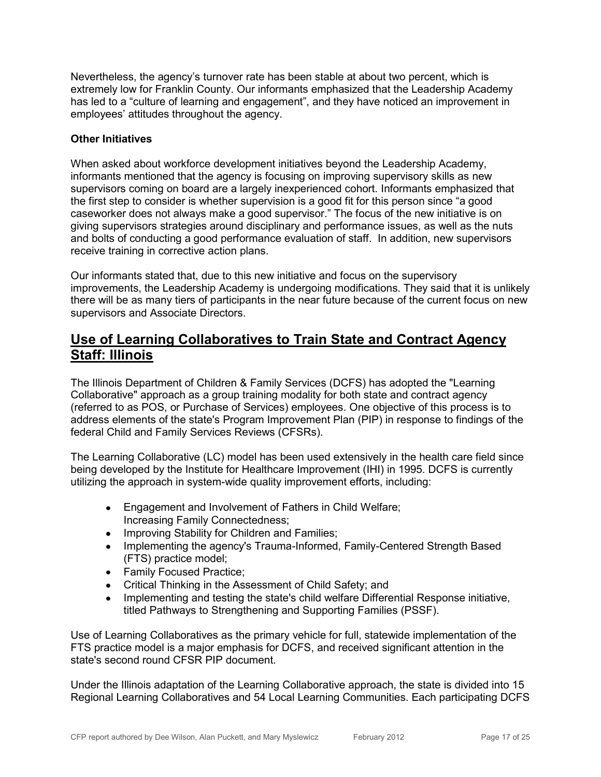Nevertheless, the agency's turnover rate has been stable at about two percent, which is extremely low for Franklin County. Our informants emphasized that the Leadership Academy has led to a "culture of learning and engagement", and they have noticed an improvement in employees' attitudes throughout the agency.

#### **Other Initiatives**

When asked about workforce development initiatives beyond the Leadership Academy, informants mentioned that the agency is focusing on improving supervisory skills as new supervisors coming on board are a largely inexperienced cohort. Informants emphasized that the first step to consider is whether supervision is a good fit for this person since "a good caseworker does not always make a good supervisor." The focus of the new initiative is on giving supervisors strategies around disciplinary and performance issues, as well as the nuts and bolts of conducting a good performance evaluation of staff. In addition, new supervisors receive training in corrective action plans.

Our informants stated that, due to this new initiative and focus on the supervisory improvements, the Leadership Academy is undergoing modifications. They said that it is unlikely there will be as many tiers of participants in the near future because of the current focus on new supervisors and Associate Directors.

### **Use of Learning Collaboratives to Train State and Contract Agency Staff: Illinois**

The Illinois Department of Children & Family Services (DCFS) has adopted the "Learning Collaborative" approach as a group training modality for both state and contract agency (referred to as POS, or Purchase of Services) employees. One objective of this process is to address elements of the state's Program Improvement Plan (PIP) in response to findings of the federal Child and Family Services Reviews (CFSRs).

The Learning Collaborative (LC) model has been used extensively in the health care field since being developed by the Institute for Healthcare Improvement (IHI) in 1995. DCFS is currently utilizing the approach in system-wide quality improvement efforts, including:

- Engagement and Involvement of Fathers in Child Welfare; Increasing Family Connectedness;
- Improving Stability for Children and Families;
- Implementing the agency's Trauma-Informed, Family-Centered Strength Based (FTS) practice model;
- Family Focused Practice;
- Critical Thinking in the Assessment of Child Safety; and
- Implementing and testing the state's child welfare Differential Response initiative, titled Pathways to Strengthening and Supporting Families (PSSF).

Use of Learning Collaboratives as the primary vehicle for full, statewide implementation of the FTS practice model is a major emphasis for DCFS, and received significant attention in the state's second round CFSR PIP document.

Under the Illinois adaptation of the Learning Collaborative approach, the state is divided into 15 Regional Learning Collaboratives and 54 Local Learning Communities. Each participating DCFS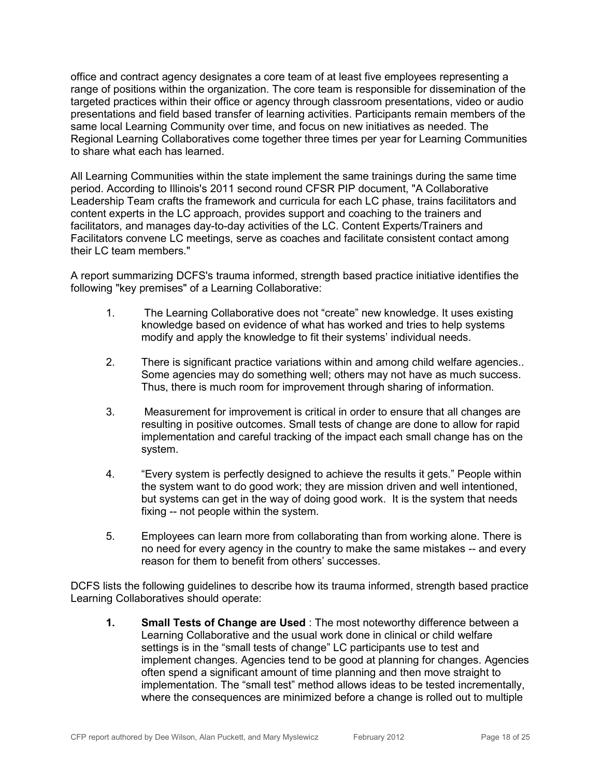office and contract agency designates a core team of at least five employees representing a range of positions within the organization. The core team is responsible for dissemination of the targeted practices within their office or agency through classroom presentations, video or audio presentations and field based transfer of learning activities. Participants remain members of the same local Learning Community over time, and focus on new initiatives as needed. The Regional Learning Collaboratives come together three times per year for Learning Communities to share what each has learned.

All Learning Communities within the state implement the same trainings during the same time period. According to Illinois's 2011 second round CFSR PIP document, "A Collaborative Leadership Team crafts the framework and curricula for each LC phase, trains facilitators and content experts in the LC approach, provides support and coaching to the trainers and facilitators, and manages day-to-day activities of the LC. Content Experts/Trainers and Facilitators convene LC meetings, serve as coaches and facilitate consistent contact among their LC team members."

A report summarizing DCFS's trauma informed, strength based practice initiative identifies the following "key premises" of a Learning Collaborative:

- 1. The Learning Collaborative does not "create" new knowledge. It uses existing knowledge based on evidence of what has worked and tries to help systems modify and apply the knowledge to fit their systems' individual needs.
- 2. There is significant practice variations within and among child welfare agencies.. Some agencies may do something well; others may not have as much success. Thus, there is much room for improvement through sharing of information.
- 3. Measurement for improvement is critical in order to ensure that all changes are resulting in positive outcomes. Small tests of change are done to allow for rapid implementation and careful tracking of the impact each small change has on the system.
- 4. "Every system is perfectly designed to achieve the results it gets." People within the system want to do good work; they are mission driven and well intentioned, but systems can get in the way of doing good work. It is the system that needs fixing -- not people within the system.
- 5. Employees can learn more from collaborating than from working alone. There is no need for every agency in the country to make the same mistakes -- and every reason for them to benefit from others' successes.

DCFS lists the following guidelines to describe how its trauma informed, strength based practice Learning Collaboratives should operate:

**1. Small Tests of Change are Used** : The most noteworthy difference between a Learning Collaborative and the usual work done in clinical or child welfare settings is in the "small tests of change" LC participants use to test and implement changes. Agencies tend to be good at planning for changes. Agencies often spend a significant amount of time planning and then move straight to implementation. The "small test" method allows ideas to be tested incrementally, where the consequences are minimized before a change is rolled out to multiple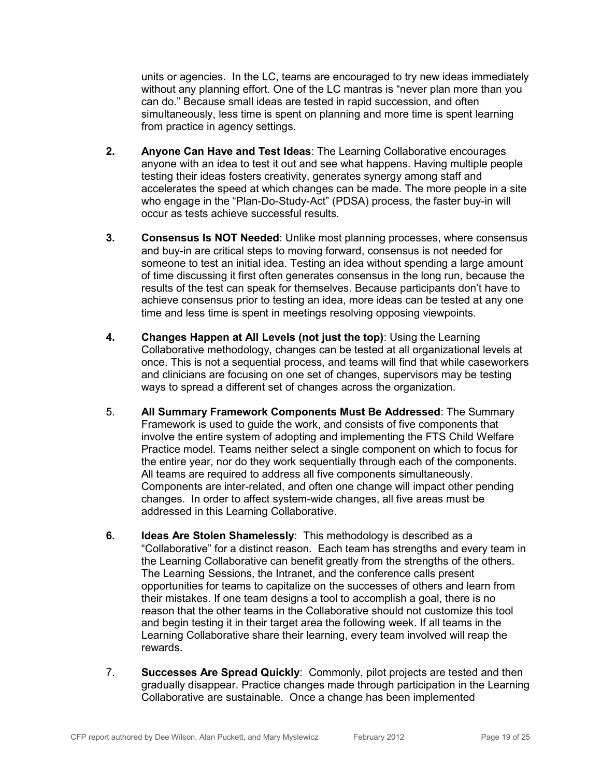units or agencies. In the LC, teams are encouraged to try new ideas immediately without any planning effort. One of the LC mantras is "never plan more than you can do." Because small ideas are tested in rapid succession, and often simultaneously, less time is spent on planning and more time is spent learning from practice in agency settings.

- **2. Anyone Can Have and Test Ideas**: The Learning Collaborative encourages anyone with an idea to test it out and see what happens. Having multiple people testing their ideas fosters creativity, generates synergy among staff and accelerates the speed at which changes can be made. The more people in a site who engage in the "Plan-Do-Study-Act" (PDSA) process, the faster buy-in will occur as tests achieve successful results.
- **3. Consensus Is NOT Needed**: Unlike most planning processes, where consensus and buy-in are critical steps to moving forward, consensus is not needed for someone to test an initial idea. Testing an idea without spending a large amount of time discussing it first often generates consensus in the long run, because the results of the test can speak for themselves. Because participants don't have to achieve consensus prior to testing an idea, more ideas can be tested at any one time and less time is spent in meetings resolving opposing viewpoints.
- **4. Changes Happen at All Levels (not just the top)**: Using the Learning Collaborative methodology, changes can be tested at all organizational levels at once. This is not a sequential process, and teams will find that while caseworkers and clinicians are focusing on one set of changes, supervisors may be testing ways to spread a different set of changes across the organization.
- 5. **All Summary Framework Components Must Be Addressed**: The Summary Framework is used to guide the work, and consists of five components that involve the entire system of adopting and implementing the FTS Child Welfare Practice model. Teams neither select a single component on which to focus for the entire year, nor do they work sequentially through each of the components. All teams are required to address all five components simultaneously. Components are inter-related, and often one change will impact other pending changes. In order to affect system-wide changes, all five areas must be addressed in this Learning Collaborative.
- **6. Ideas Are Stolen Shamelessly**: This methodology is described as a "Collaborative" for a distinct reason. Each team has strengths and every team in the Learning Collaborative can benefit greatly from the strengths of the others. The Learning Sessions, the Intranet, and the conference calls present opportunities for teams to capitalize on the successes of others and learn from their mistakes. If one team designs a tool to accomplish a goal, there is no reason that the other teams in the Collaborative should not customize this tool and begin testing it in their target area the following week. If all teams in the Learning Collaborative share their learning, every team involved will reap the rewards.
- 7. **Successes Are Spread Quickly**: Commonly, pilot projects are tested and then gradually disappear. Practice changes made through participation in the Learning Collaborative are sustainable. Once a change has been implemented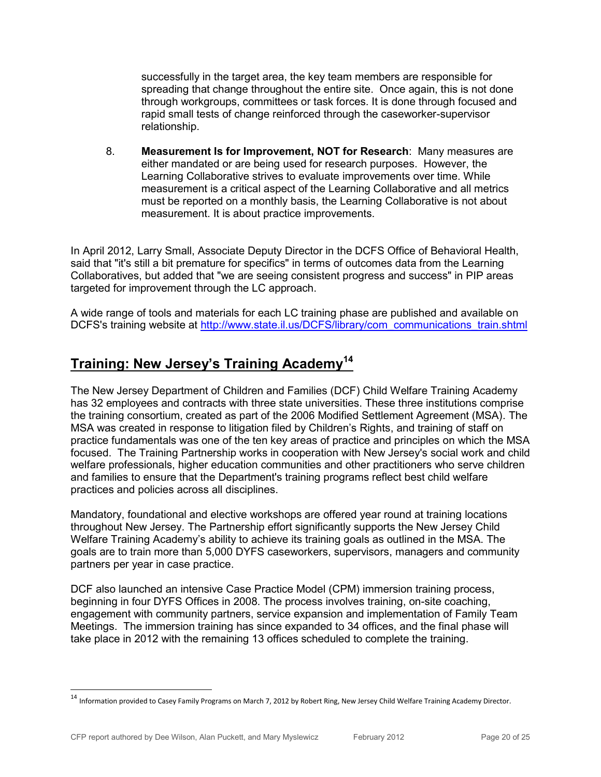successfully in the target area, the key team members are responsible for spreading that change throughout the entire site. Once again, this is not done through workgroups, committees or task forces. It is done through focused and rapid small tests of change reinforced through the caseworker-supervisor relationship.

8. **Measurement Is for Improvement, NOT for Research**: Many measures are either mandated or are being used for research purposes. However, the Learning Collaborative strives to evaluate improvements over time. While measurement is a critical aspect of the Learning Collaborative and all metrics must be reported on a monthly basis, the Learning Collaborative is not about measurement. It is about practice improvements.

In April 2012, Larry Small, Associate Deputy Director in the DCFS Office of Behavioral Health, said that "it's still a bit premature for specifics" in terms of outcomes data from the Learning Collaboratives, but added that "we are seeing consistent progress and success" in PIP areas targeted for improvement through the LC approach.

A wide range of tools and materials for each LC training phase are published and available on DCFS's training website at http://www.state.il.us/DCFS/library/com\_communications\_train.shtml

# **Training: New Jersey's Training Academy<sup>14</sup>**

The New Jersey Department of Children and Families (DCF) Child Welfare Training Academy has 32 employees and contracts with three state universities. These three institutions comprise the training consortium, created as part of the 2006 Modified Settlement Agreement (MSA). The MSA was created in response to litigation filed by Children's Rights, and training of staff on practice fundamentals was one of the ten key areas of practice and principles on which the MSA focused. The Training Partnership works in cooperation with New Jersey's social work and child welfare professionals, higher education communities and other practitioners who serve children and families to ensure that the Department's training programs reflect best child welfare practices and policies across all disciplines.

Mandatory, foundational and elective workshops are offered year round at training locations throughout New Jersey. The Partnership effort significantly supports the New Jersey Child Welfare Training Academy's ability to achieve its training goals as outlined in the MSA. The goals are to train more than 5,000 DYFS caseworkers, supervisors, managers and community partners per year in case practice.

DCF also launched an intensive Case Practice Model (CPM) immersion training process, beginning in four DYFS Offices in 2008. The process involves training, on-site coaching, engagement with community partners, service expansion and implementation of Family Team Meetings. The immersion training has since expanded to 34 offices, and the final phase will take place in 2012 with the remaining 13 offices scheduled to complete the training.

<sup>&</sup>lt;sup>14</sup> Information provided to Casey Family Programs on March 7, 2012 by Robert Ring, New Jersey Child Welfare Training Academy Director.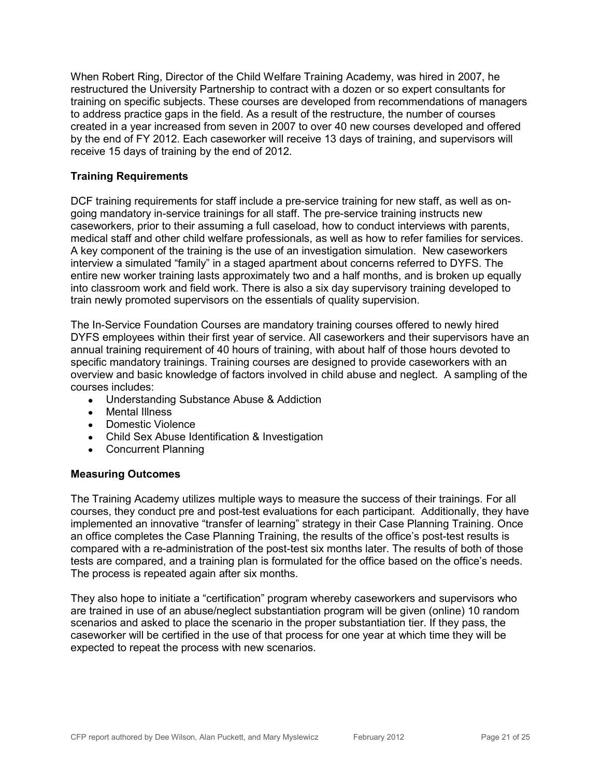When Robert Ring, Director of the Child Welfare Training Academy, was hired in 2007, he restructured the University Partnership to contract with a dozen or so expert consultants for training on specific subjects. These courses are developed from recommendations of managers to address practice gaps in the field. As a result of the restructure, the number of courses created in a year increased from seven in 2007 to over 40 new courses developed and offered by the end of FY 2012. Each caseworker will receive 13 days of training, and supervisors will receive 15 days of training by the end of 2012.

#### **Training Requirements**

DCF training requirements for staff include a pre-service training for new staff, as well as ongoing mandatory in-service trainings for all staff. The pre-service training instructs new caseworkers, prior to their assuming a full caseload, how to conduct interviews with parents, medical staff and other child welfare professionals, as well as how to refer families for services. A key component of the training is the use of an investigation simulation. New caseworkers interview a simulated "family" in a staged apartment about concerns referred to DYFS. The entire new worker training lasts approximately two and a half months, and is broken up equally into classroom work and field work. There is also a six day supervisory training developed to train newly promoted supervisors on the essentials of quality supervision.

The In-Service Foundation Courses are mandatory training courses offered to newly hired DYFS employees within their first year of service. All caseworkers and their supervisors have an annual training requirement of 40 hours of training, with about half of those hours devoted to specific mandatory trainings. Training courses are designed to provide caseworkers with an overview and basic knowledge of factors involved in child abuse and neglect. A sampling of the courses includes:

- Understanding Substance Abuse & Addiction
- Mental Illness
- Domestic Violence
- Child Sex Abuse Identification & Investigation
- Concurrent Planning

#### **Measuring Outcomes**

The Training Academy utilizes multiple ways to measure the success of their trainings. For all courses, they conduct pre and post-test evaluations for each participant. Additionally, they have implemented an innovative "transfer of learning" strategy in their Case Planning Training. Once an office completes the Case Planning Training, the results of the office's post-test results is compared with a re-administration of the post-test six months later. The results of both of those tests are compared, and a training plan is formulated for the office based on the office's needs. The process is repeated again after six months.

They also hope to initiate a "certification" program whereby caseworkers and supervisors who are trained in use of an abuse/neglect substantiation program will be given (online) 10 random scenarios and asked to place the scenario in the proper substantiation tier. If they pass, the caseworker will be certified in the use of that process for one year at which time they will be expected to repeat the process with new scenarios.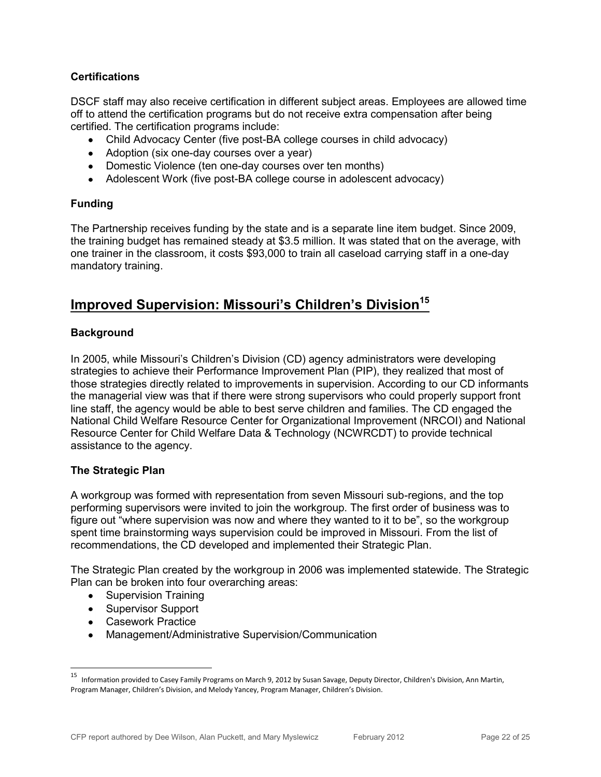#### **Certifications**

DSCF staff may also receive certification in different subject areas. Employees are allowed time off to attend the certification programs but do not receive extra compensation after being certified. The certification programs include:

- Child Advocacy Center (five post-BA college courses in child advocacy)
- Adoption (six one-day courses over a year)
- Domestic Violence (ten one-day courses over ten months)
- Adolescent Work (five post-BA college course in adolescent advocacy)

#### **Funding**

The Partnership receives funding by the state and is a separate line item budget. Since 2009, the training budget has remained steady at \$3.5 million. It was stated that on the average, with one trainer in the classroom, it costs \$93,000 to train all caseload carrying staff in a one-day mandatory training.

### **Improved Supervision: Missouri's Children's Division<sup>15</sup>**

#### **Background**

In 2005, while Missouri's Children's Division (CD) agency administrators were developing strategies to achieve their Performance Improvement Plan (PIP), they realized that most of those strategies directly related to improvements in supervision. According to our CD informants the managerial view was that if there were strong supervisors who could properly support front line staff, the agency would be able to best serve children and families. The CD engaged the National Child Welfare Resource Center for Organizational Improvement (NRCOI) and National Resource Center for Child Welfare Data & Technology (NCWRCDT) to provide technical assistance to the agency.

#### **The Strategic Plan**

A workgroup was formed with representation from seven Missouri sub-regions, and the top performing supervisors were invited to join the workgroup. The first order of business was to figure out "where supervision was now and where they wanted to it to be", so the workgroup spent time brainstorming ways supervision could be improved in Missouri. From the list of recommendations, the CD developed and implemented their Strategic Plan.

The Strategic Plan created by the workgroup in 2006 was implemented statewide. The Strategic Plan can be broken into four overarching areas:

- Supervision Training
- Supervisor Support
- Casework Practice
- Management/Administrative Supervision/Communication

<sup>—&</sup>lt;br>15 Information provided to Casey Family Programs on March 9, 2012 by Susan Savage, Deputy Director, Children's Division, Ann Martin, Program Manager, Children's Division, and Melody Yancey, Program Manager, Children's Division.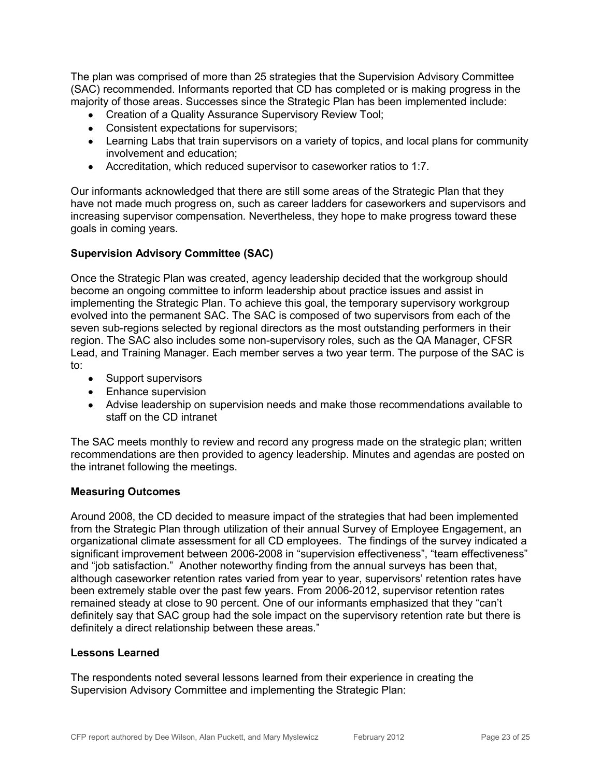The plan was comprised of more than 25 strategies that the Supervision Advisory Committee (SAC) recommended. Informants reported that CD has completed or is making progress in the majority of those areas. Successes since the Strategic Plan has been implemented include:

- Creation of a Quality Assurance Supervisory Review Tool;
- Consistent expectations for supervisors;
- Learning Labs that train supervisors on a variety of topics, and local plans for community involvement and education;
- Accreditation, which reduced supervisor to caseworker ratios to 1:7.

Our informants acknowledged that there are still some areas of the Strategic Plan that they have not made much progress on, such as career ladders for caseworkers and supervisors and increasing supervisor compensation. Nevertheless, they hope to make progress toward these goals in coming years.

#### **Supervision Advisory Committee (SAC)**

Once the Strategic Plan was created, agency leadership decided that the workgroup should become an ongoing committee to inform leadership about practice issues and assist in implementing the Strategic Plan. To achieve this goal, the temporary supervisory workgroup evolved into the permanent SAC. The SAC is composed of two supervisors from each of the seven sub-regions selected by regional directors as the most outstanding performers in their region. The SAC also includes some non-supervisory roles, such as the QA Manager, CFSR Lead, and Training Manager. Each member serves a two year term. The purpose of the SAC is to:

- Support supervisors
- Enhance supervision
- Advise leadership on supervision needs and make those recommendations available to staff on the CD intranet

The SAC meets monthly to review and record any progress made on the strategic plan; written recommendations are then provided to agency leadership. Minutes and agendas are posted on the intranet following the meetings.

#### **Measuring Outcomes**

Around 2008, the CD decided to measure impact of the strategies that had been implemented from the Strategic Plan through utilization of their annual Survey of Employee Engagement, an organizational climate assessment for all CD employees. The findings of the survey indicated a significant improvement between 2006-2008 in "supervision effectiveness", "team effectiveness" and "job satisfaction." Another noteworthy finding from the annual surveys has been that, although caseworker retention rates varied from year to year, supervisors' retention rates have been extremely stable over the past few years. From 2006-2012, supervisor retention rates remained steady at close to 90 percent. One of our informants emphasized that they "can't definitely say that SAC group had the sole impact on the supervisory retention rate but there is definitely a direct relationship between these areas."

#### **Lessons Learned**

The respondents noted several lessons learned from their experience in creating the Supervision Advisory Committee and implementing the Strategic Plan: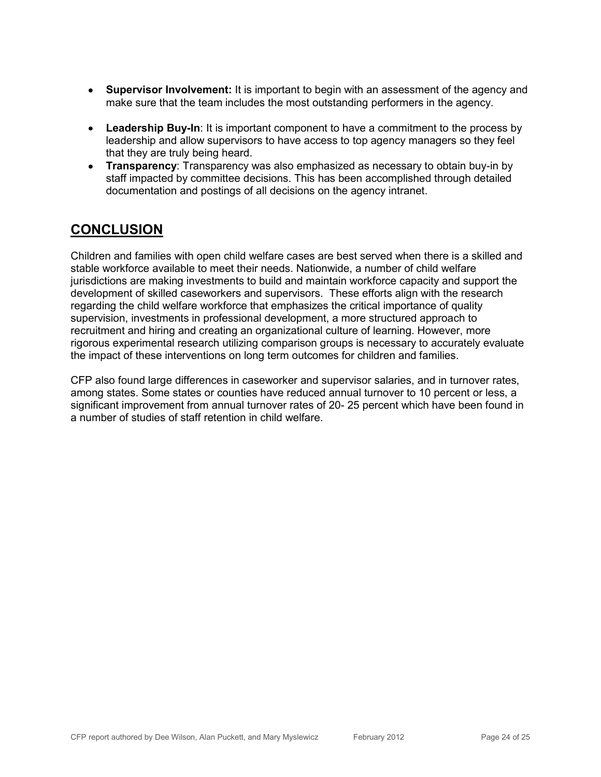- **Supervisor Involvement:** It is important to begin with an assessment of the agency and make sure that the team includes the most outstanding performers in the agency.
- **Leadership Buy-In**: It is important component to have a commitment to the process by leadership and allow supervisors to have access to top agency managers so they feel that they are truly being heard.
- **Transparency**: Transparency was also emphasized as necessary to obtain buy-in by staff impacted by committee decisions. This has been accomplished through detailed documentation and postings of all decisions on the agency intranet.

### **CONCLUSION**

Children and families with open child welfare cases are best served when there is a skilled and stable workforce available to meet their needs. Nationwide, a number of child welfare jurisdictions are making investments to build and maintain workforce capacity and support the development of skilled caseworkers and supervisors. These efforts align with the research regarding the child welfare workforce that emphasizes the critical importance of quality supervision, investments in professional development, a more structured approach to recruitment and hiring and creating an organizational culture of learning. However, more rigorous experimental research utilizing comparison groups is necessary to accurately evaluate the impact of these interventions on long term outcomes for children and families.

CFP also found large differences in caseworker and supervisor salaries, and in turnover rates, among states. Some states or counties have reduced annual turnover to 10 percent or less, a significant improvement from annual turnover rates of 20- 25 percent which have been found in a number of studies of staff retention in child welfare.